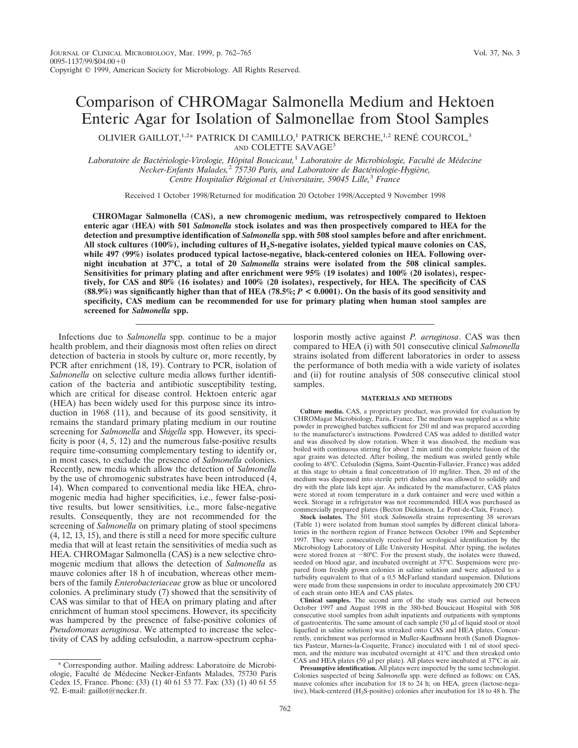# Comparison of CHROMagar Salmonella Medium and Hektoen Enteric Agar for Isolation of Salmonellae from Stool Samples

OLIVIER GAILLOT,  $1.2*$  PATRICK DI CAMILLO,<sup>1</sup> PATRICK BERCHE,  $1.2$  RENÉ COURCOL,<sup>3</sup> AND COLETTE SAVAGE<sup>3</sup>

*Laboratoire de Bacte´riologie-Virologie, Hoˆpital Boucicaut,*<sup>1</sup> *Laboratoire de Microbiologie, Faculte´ de Me´decine Necker-Enfants Malades,*<sup>2</sup> *75730 Paris, and Laboratoire de Bacte´riologie-Hygie`ne, Centre Hospitalier Re´gional et Universitaire, 59045 Lille,*<sup>3</sup> *France*

Received 1 October 1998/Returned for modification 20 October 1998/Accepted 9 November 1998

**CHROMagar Salmonella (CAS), a new chromogenic medium, was retrospectively compared to Hektoen enteric agar (HEA) with 501** *Salmonella* **stock isolates and was then prospectively compared to HEA for the detection and presumptive identification of** *Salmonella* **spp. with 508 stool samples before and after enrichment. All stock cultures (100%), including cultures of H2S-negative isolates, yielded typical mauve colonies on CAS, while 497 (99%) isolates produced typical lactose-negative, black-centered colonies on HEA. Following overnight incubation at 37°C, a total of 20** *Salmonella* **strains were isolated from the 508 clinical samples. Sensitivities for primary plating and after enrichment were 95% (19 isolates) and 100% (20 isolates), respectively, for CAS and 80% (16 isolates) and 100% (20 isolates), respectively, for HEA. The specificity of CAS (88.9%) was significantly higher than that of HEA (78.5%;** *P* **< 0.0001). On the basis of its good sensitivity and specificity, CAS medium can be recommended for use for primary plating when human stool samples are screened for** *Salmonella* **spp.**

Infections due to *Salmonella* spp. continue to be a major health problem, and their diagnosis most often relies on direct detection of bacteria in stools by culture or, more recently, by PCR after enrichment (18, 19). Contrary to PCR, isolation of *Salmonella* on selective culture media allows further identification of the bacteria and antibiotic susceptibility testing, which are critical for disease control. Hektoen enteric agar (HEA) has been widely used for this purpose since its introduction in 1968 (11), and because of its good sensitivity, it remains the standard primary plating medium in our routine screening for *Salmonella* and *Shigella* spp. However, its specificity is poor (4, 5, 12) and the numerous false-positive results require time-consuming complementary testing to identify or, in most cases, to exclude the presence of *Salmonella* colonies. Recently, new media which allow the detection of *Salmonella* by the use of chromogenic substrates have been introduced (4, 14). When compared to conventional media like HEA, chromogenic media had higher specificities, i.e., fewer false-positive results, but lower sensitivities, i.e., more false-negative results. Consequently, they are not recommended for the screening of *Salmonella* on primary plating of stool specimens (4, 12, 13, 15), and there is still a need for more specific culture media that will at least retain the sensitivities of media such as HEA. CHROMagar Salmonella (CAS) is a new selective chromogenic medium that allows the detection of *Salmonella* as mauve colonies after 18 h of incubation, whereas other members of the family *Enterobacteriaceae* grow as blue or uncolored colonies. A preliminary study (7) showed that the sensitivity of CAS was similar to that of HEA on primary plating and after enrichment of human stool specimens. However, its specificity was hampered by the presence of false-positive colonies of *Pseudomonas aeruginosa*. We attempted to increase the selectivity of CAS by adding cefsulodin, a narrow-spectrum cepha-

strains isolated from different laboratories in order to assess the performance of both media with a wide variety of isolates and (ii) for routine analysis of 508 consecutive clinical stool samples. **MATERIALS AND METHODS Culture media.** CAS, a proprietary product, was provided for evaluation by

losporin mostly active against *P. aeruginosa*. CAS was then compared to HEA (i) with 501 consecutive clinical *Salmonella*

CHROMagar Microbiology, Paris, France. The medium was supplied as a white powder in preweighed batches sufficient for 250 ml and was prepared according to the manufacturer's instructions. Powdered CAS was added to distilled water and was dissolved by slow rotation. When it was dissolved, the medium was boiled with continuous stirring for about 2 min until the complete fusion of the agar grains was detected. After boiling, the medium was swirled gently while cooling to 48°C. Cefsulodin (Sigma, Saint-Quentin-Fallavier, France) was added at this stage to obtain a final concentration of 10 mg/liter. Then, 20 ml of the medium was dispensed into sterile petri dishes and was allowed to solidify and dry with the plate lids kept ajar. As indicated by the manufacturer, CAS plates were stored at room temperature in a dark container and were used within a week. Storage in a refrigerator was not recommended. HEA was purchased as

commercially prepared plates (Becton Dickinson, Le Pont-de-Claix, France). **Stock isolates.** The 501 stock *Salmonella* strains representing 38 serovars (Table 1) were isolated from human stool samples by different clinical laboratories in the northern region of France between October 1996 and September 1997. They were consecutively received for serological identification by the Microbiology Laboratory of Lille University Hospital. After typing, the isolates were stored frozen at  $-80^{\circ}$ C. For the present study, the isolates were thawed, seeded on blood agar, and incubated overnight at 37°C. Suspensions were prepared from freshly grown colonies in saline solution and were adjusted to a turbidity equivalent to that of a 0.5 McFarland standard suspension. Dilutions were made from these suspensions in order to inoculate approximately 200 CFU of each strain onto HEA and CAS plates.

**Clinical samples.** The second arm of the study was carried out between October 1997 and August 1998 in the 380-bed Boucicaut Hospital with 508 consecutive stool samples from adult inpatients and outpatients with symptoms of gastroenteritis. The same amount of each sample  $(50 \mu)$  of liquid stool or stool liquefied in saline solution) was streaked onto CAS and HEA plates. Concurrently, enrichment was performed in Muller-Kauffmann broth (Sanofi Diagnostics Pasteur, Marnes-la-Coquette, France) inoculated with 1 ml of stool specimen, and the mixture was incubated overnight at 41°C and then streaked onto CAS and HEA plates (50  $\mu$ l per plate). All plates were incubated at 37°C in air.

**Presumptive identification.** All plates were inspected by the same technologist. Colonies suspected of being *Salmonella* spp. were defined as follows: on CAS, mauve colonies after incubation for 18 to 24 h; on HEA, green (lactose-negative), black-centered ( $H_2S$ -positive) colonies after incubation for 18 to 48 h. The

<sup>\*</sup> Corresponding author. Mailing address: Laboratoire de Microbiologie, Faculté de Médecine Necker-Enfants Malades, 75730 Paris Cedex 15, France. Phone: (33) (1) 40 61 53 77. Fax: (33) (1) 40 61 55 92. E-mail: gaillot@necker.fr.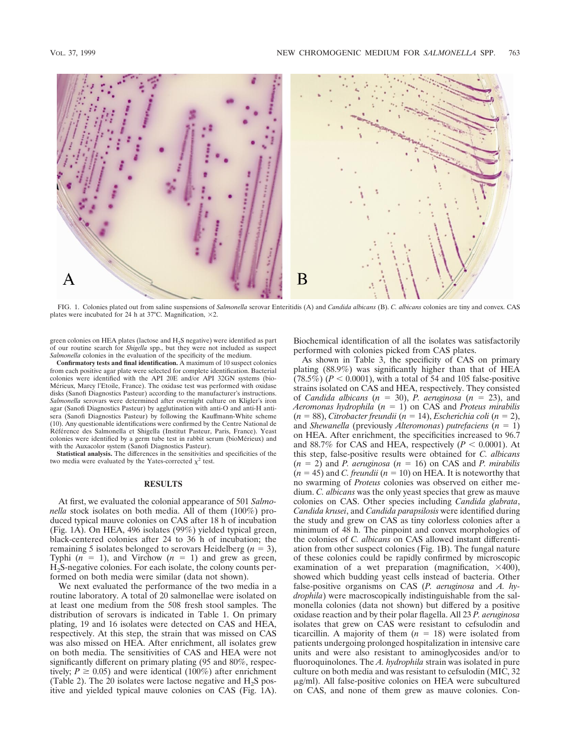

FIG. 1. Colonies plated out from saline suspensions of *Salmonella* serovar Enteritidis (A) and *Candida albicans* (B). *C. albicans* colonies are tiny and convex. CAS plates were incubated for 24 h at 37°C. Magnification,  $\times$ 2.

green colonies on HEA plates (lactose and H2S negative) were identified as part of our routine search for *Shigella* spp., but they were not included as suspect *Salmonella* colonies in the evaluation of the specificity of the medium.

**Confirmatory tests and final identification.** A maximum of 10 suspect colonies from each positive agar plate were selected for complete identification. Bacterial colonies were identified with the API 20E and/or API 32GN systems (bio-Mérieux, Marcy l'Etoile, France). The oxidase test was performed with oxidase disks (Sanofi Diagnostics Pasteur) according to the manufacturer's instructions. *Salmonella* serovars were determined after overnight culture on Kligler's iron agar (Sanofi Diagnostics Pasteur) by agglutination with anti-O and anti-H antisera (Sanofi Diagnostics Pasteur) by following the Kauffmann-White scheme (10). Any questionable identifications were confirmed by the Centre National de Référence des Salmonella et Shigella (Institut Pasteur, Paris, France). Yeast colonies were identified by a germ tube test in rabbit serum (bioMérieux) and with the Auxacolor system (Sanofi Diagnostics Pasteur).

**Statistical analysis.** The differences in the sensitivities and specificities of the two media were evaluated by the Yates-corrected  $\chi^2$  test.

### **RESULTS**

At first, we evaluated the colonial appearance of 501 *Salmonella* stock isolates on both media. All of them (100%) produced typical mauve colonies on CAS after 18 h of incubation (Fig. 1A). On HEA, 496 isolates (99%) yielded typical green, black-centered colonies after 24 to 36 h of incubation; the remaining 5 isolates belonged to serovars Heidelberg  $(n = 3)$ , Typhi  $(n = 1)$ , and Virchow  $(n = 1)$  and grew as green, H2S-negative colonies. For each isolate, the colony counts performed on both media were similar (data not shown).

We next evaluated the performance of the two media in a routine laboratory. A total of 20 salmonellae were isolated on at least one medium from the 508 fresh stool samples. The distribution of serovars is indicated in Table 1. On primary plating, 19 and 16 isolates were detected on CAS and HEA, respectively. At this step, the strain that was missed on CAS was also missed on HEA. After enrichment, all isolates grew on both media. The sensitivities of CAS and HEA were not significantly different on primary plating (95 and 80%, respectively;  $P \ge 0.05$ ) and were identical (100%) after enrichment (Table 2). The 20 isolates were lactose negative and  $H_2S$  positive and yielded typical mauve colonies on CAS (Fig. 1A). Biochemical identification of all the isolates was satisfactorily performed with colonies picked from CAS plates.

As shown in Table 3, the specificity of CAS on primary plating (88.9%) was significantly higher than that of HEA  $(78.5\%)$  ( $P < 0.0001$ ), with a total of 54 and 105 false-positive strains isolated on CAS and HEA, respectively. They consisted of *Candida albicans* ( $n = 30$ ), *P. aeruginosa* ( $n = 23$ ), and *Aeromonas hydrophila* (*n* 5 1) on CAS and *Proteus mirabilis* (*n* 5 88), *Citrobacter freundii* (*n* 5 14), *Escherichia coli* (*n* 5 2), and *Shewanella* (previously *Alteromonas*) *putrefaciens*  $(n = 1)$ on HEA. After enrichment, the specificities increased to 96.7 and 88.7% for CAS and HEA, respectively  $(P < 0.0001)$ . At this step, false-positive results were obtained for *C. albicans*  $(n = 2)$  and *P. aeruginosa*  $(n = 16)$  on CAS and *P. mirabilis*  $(n = 45)$  and *C. freundii*  $(n = 10)$  on HEA. It is noteworthy that no swarming of *Proteus* colonies was observed on either medium. *C. albicans* was the only yeast species that grew as mauve colonies on CAS. Other species including *Candida glabrata*, *Candida krusei*, and *Candida parapsilosis* were identified during the study and grew on CAS as tiny colorless colonies after a minimum of 48 h. The pinpoint and convex morphologies of the colonies of *C. albicans* on CAS allowed instant differentiation from other suspect colonies (Fig. 1B). The fungal nature of these colonies could be rapidly confirmed by microscopic examination of a wet preparation (magnification,  $\times$ 400), showed which budding yeast cells instead of bacteria. Other false-positive organisms on CAS (*P. aeruginosa* and *A. hydrophila*) were macroscopically indistinguishable from the salmonella colonies (data not shown) but differed by a positive oxidase reaction and by their polar flagella. All 23 *P. aeruginosa* isolates that grew on CAS were resistant to cefsulodin and ticarcillin. A majority of them  $(n = 18)$  were isolated from patients undergoing prolonged hospitalization in intensive care units and were also resistant to aminoglycosides and/or to fluoroquinolones. The *A. hydrophila* strain was isolated in pure culture on both media and was resistant to cefsulodin (MIC, 32  $\mu$ g/ml). All false-positive colonies on HEA were subcultured on CAS, and none of them grew as mauve colonies. Con-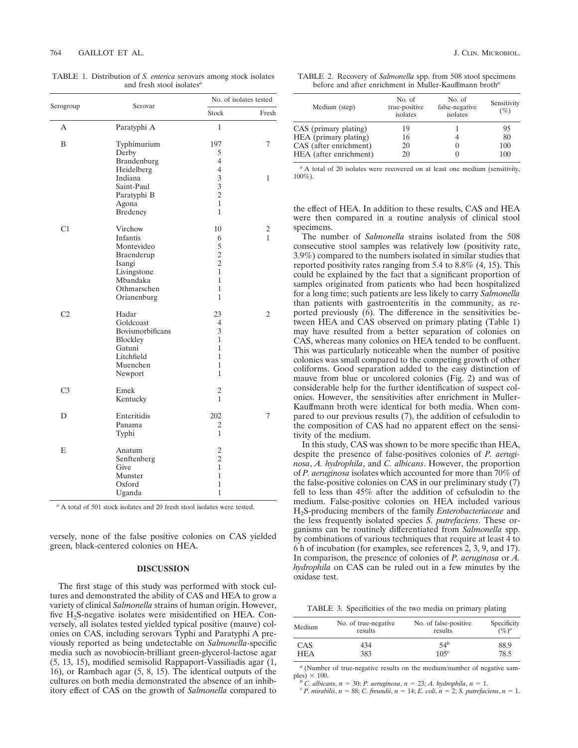| Serogroup      | Serovar          | No. of isolates tested |       |
|----------------|------------------|------------------------|-------|
|                |                  | Stock                  | Fresh |
| А              | Paratyphi A      | 1                      |       |
| B              | Typhimurium      | 197                    | 7     |
|                | Derby            | 5                      |       |
|                | Brandenburg      | 4                      |       |
|                | Heidelberg       | $\overline{4}$         |       |
|                | Indiana          | 3                      | 1     |
|                | Saint-Paul       | 3                      |       |
|                | Paratyphi B      | $\overline{c}$         |       |
|                | Agona            | 1                      |       |
|                | Bredeney         | $\overline{1}$         |       |
| C1             | Virchow          | 10                     | 2     |
|                | Infantis         | 6                      | 1     |
|                | Montevideo       | 5                      |       |
|                | Braenderup       | $\overline{c}$         |       |
|                | Isangi           | $\overline{2}$         |       |
|                | Livingstone      | $\overline{1}$         |       |
|                | Mbandaka         | 1                      |       |
|                | Othmarschen      | 1                      |       |
|                | Orianenburg      | 1                      |       |
| C <sub>2</sub> | Hadar            | 23                     | 2     |
|                | Goldcoast        | 4                      |       |
|                | Bovismorbificans | 3                      |       |
|                | Blockley         | $\overline{1}$         |       |
|                | Gatuni           | 1                      |       |
|                | Litchfield       | 1                      |       |
|                | Muenchen         | $\overline{1}$         |       |
|                | Newport          | 1                      |       |
| C <sub>3</sub> | Emek             | $\overline{c}$         |       |
|                | Kentucky         | 1                      |       |
| D              | Enteritidis      | 202                    | 7     |
|                | Panama           | 2                      |       |
|                | Typhi            | 1                      |       |
| E              | Anatum           | $\overline{c}$         |       |
|                | Senftenberg      | $\overline{c}$         |       |
|                | Give             | 1                      |       |
|                | Munster          | 1                      |       |
|                | Oxford           | 1                      |       |
|                | Uganda           | $\overline{1}$         |       |

TABLE 1. Distribution of *S. enterica* serovars among stock isolates and fresh stool isolates*<sup>a</sup>*

*<sup>a</sup>* A total of 501 stock isolates and 20 fresh stool isolates were tested.

versely, none of the false positive colonies on CAS yielded green, black-centered colonies on HEA.

## **DISCUSSION**

The first stage of this study was performed with stock cultures and demonstrated the ability of CAS and HEA to grow a variety of clinical *Salmonella* strains of human origin. However, five H2S-negative isolates were misidentified on HEA. Conversely, all isolates tested yielded typical positive (mauve) colonies on CAS, including serovars Typhi and Paratyphi A previously reported as being undetectable on *Salmonella*-specific media such as novobiocin-brilliant green-glycerol-lactose agar (5, 13, 15), modified semisolid Rappaport-Vassiliadis agar (1, 16), or Rambach agar (5, 8, 15). The identical outputs of the cultures on both media demonstrated the absence of an inhibitory effect of CAS on the growth of *Salmonella* compared to

| TABLE 2. Recovery of <i>Salmonella</i> spp. from 508 stool specimens |  |
|----------------------------------------------------------------------|--|
| before and after enrichment in Muller-Kauffmann broth <sup>a</sup>   |  |

| Medium (step)          | No. of<br>true-positive<br>isolates | No. of<br>false-negative<br>isolates | Sensitivity<br>$(\%)$ |
|------------------------|-------------------------------------|--------------------------------------|-----------------------|
| CAS (primary plating)  | 19                                  |                                      | 95                    |
| HEA (primary plating)  | 16                                  |                                      | 80                    |
| CAS (after enrichment) | 20                                  | O                                    | 100                   |
| HEA (after enrichment) | 20                                  |                                      | 100                   |

<sup>*a*</sup> A total of 20 isolates were recovered on at least one medium (sensitivity, 100%).

the effect of HEA. In addition to these results, CAS and HEA were then compared in a routine analysis of clinical stool specimens.

The number of *Salmonella* strains isolated from the 508 consecutive stool samples was relatively low (positivity rate, 3.9%) compared to the numbers isolated in similar studies that reported positivity rates ranging from 5.4 to 8.8% (4, 15). This could be explained by the fact that a significant proportion of samples originated from patients who had been hospitalized for a long time; such patients are less likely to carry *Salmonella* than patients with gastroenteritis in the community, as reported previously  $(6)$ . The difference in the sensitivities between HEA and CAS observed on primary plating (Table 1) may have resulted from a better separation of colonies on CAS, whereas many colonies on HEA tended to be confluent. This was particularly noticeable when the number of positive colonies was small compared to the competing growth of other coliforms. Good separation added to the easy distinction of mauve from blue or uncolored colonies (Fig. 2) and was of considerable help for the further identification of suspect colonies. However, the sensitivities after enrichment in Muller-Kauffmann broth were identical for both media. When compared to our previous results (7), the addition of cefsulodin to the composition of CAS had no apparent effect on the sensitivity of the medium.

In this study, CAS was shown to be more specific than HEA, despite the presence of false-positives colonies of *P. aeruginosa*, *A. hydrophila*, and *C. albicans*. However, the proportion of *P. aeruginosa* isolates which accounted for more than 70% of the false-positive colonies on CAS in our preliminary study (7) fell to less than 45% after the addition of cefsulodin to the medium. False-positive colonies on HEA included various H2S-producing members of the family *Enterobacteriaceae* and the less frequently isolated species *S. putrefaciens*. These organisms can be routinely differentiated from *Salmonella* spp. by combinations of various techniques that require at least 4 to 6 h of incubation (for examples, see references 2, 3, 9, and 17). In comparison, the presence of colonies of *P. aeruginosa* or *A. hydrophila* on CAS can be ruled out in a few minutes by the oxidase test.

TABLE 3. Specificities of the two media on primary plating

| Medium     | No. of true-negative | No. of false-positive | Specificity |
|------------|----------------------|-----------------------|-------------|
|            | results              | results               | $(\%)^a$    |
| CAS        | 434                  | 54 <sup>b</sup>       | 88.9        |
| <b>HEA</b> | 383                  | 105c                  | 78.5        |

*<sup>a</sup>* (Number of true-negative results on the medium/number of negative sam-

ples)  $\times$  100.<br>
<sup>b</sup> C. albicans, n = 30; P. aeruginosa, n = 23; A. hydrophila, n = 1.<br>
<sup>c</sup> P. mirabilis, n = 88; C. freundii, n = 14; E. coli, n = 2; S. putrefaciens, n = 1.